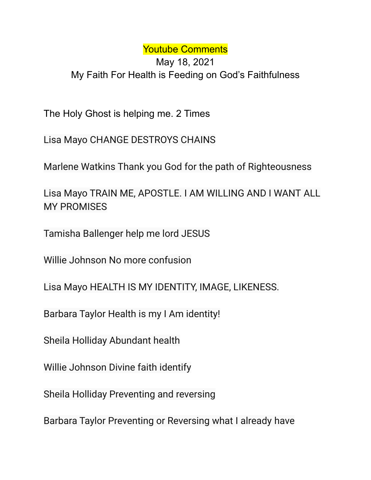## Youtube Comments

## May 18, 2021 My Faith For Health is Feeding on God's Faithfulness

The Holy Ghost is helping me. 2 Times

Lisa Mayo CHANGE DESTROYS CHAINS

Marlene Watkins Thank you God for the path of Righteousness

Lisa Mayo TRAIN ME, APOSTLE. I AM WILLING AND I WANT ALL MY PROMISES

Tamisha Ballenger help me lord JESUS

Willie Johnson No more confusion

Lisa Mayo HEALTH IS MY IDENTITY, IMAGE, LIKENESS.

Barbara Taylor Health is my I Am identity!

Sheila Holliday Abundant health

Willie Johnson Divine faith identify

Sheila Holliday Preventing and reversing

Barbara Taylor Preventing or Reversing what I already have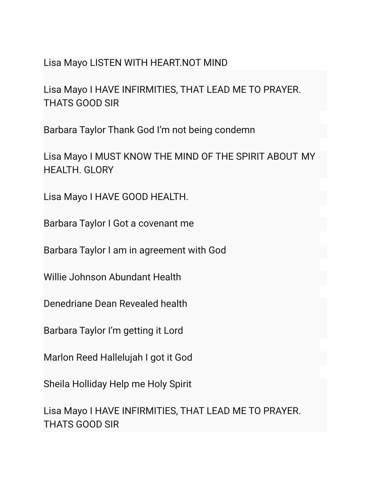## Lisa Mayo LISTEN WITH HEART.NOT MIND

Lisa Mayo I HAVE INFIRMITIES, THAT LEAD ME TO PRAYER. THATS GOOD SIR

Barbara Taylor Thank God I'm not being condemn

Lisa Mayo I MUST KNOW THE MIND OF THE SPIRIT ABOUT MY HEALTH. GLORY

Lisa Mayo I HAVE GOOD HEALTH.

Barbara Taylor I Got a covenant me

Barbara Taylor I am in agreement with God

Willie Johnson Abundant Health

Denedriane Dean Revealed health

Barbara Taylor I'm getting it Lord

Marlon Reed Hallelujah I got it God

Sheila Holliday Help me Holy Spirit

Lisa Mayo I HAVE INFIRMITIES, THAT LEAD ME TO PRAYER. THATS GOOD SIR